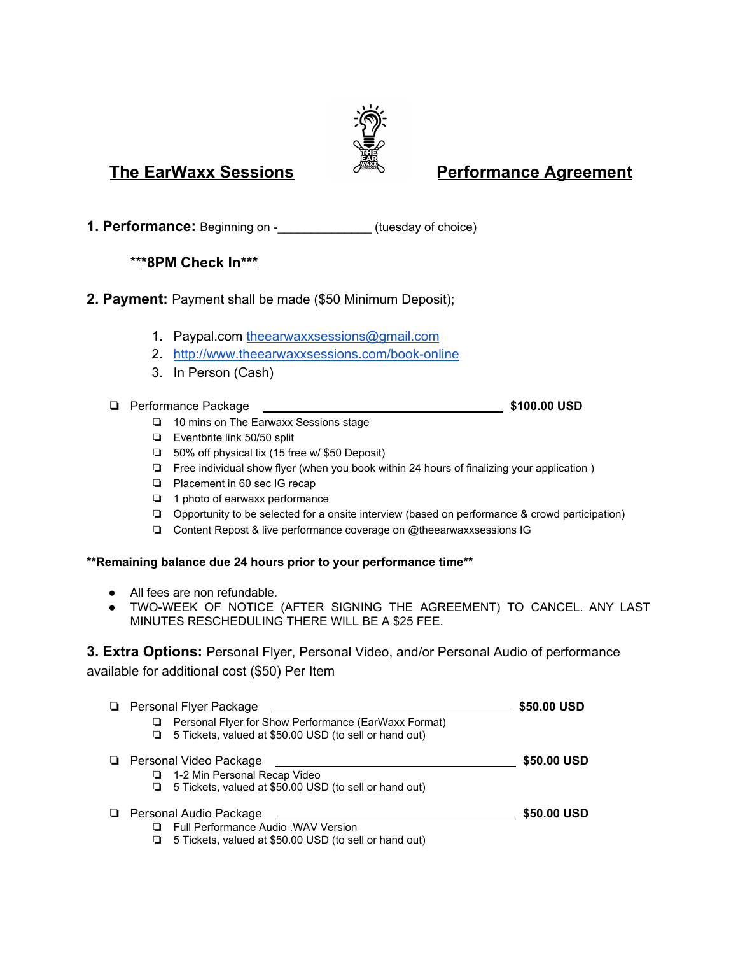# **The EarWaxx Sessions Performance Agreement**

**1. Performance:** Beginning on -\_\_\_\_\_\_\_\_\_\_\_\_\_\_ (tuesday of choice)

# \*\***\*8PM Check In\*\*\***

- **2. Payment:** Payment shall be made (\$50 Minimum Deposit);
	- 1. Paypal.com [theearwaxxsessions@gmail.com](mailto:theearwaxxsessions@gmail.com)
	- 2. <http://www.theearwaxxsessions.com/book-online>
	- 3. In Person (Cash)
	- ❏ Performance Package **\$100.00 USD**
		- ❏ 10 mins on The Earwaxx Sessions stage
		- ❏ Eventbrite link 50/50 split
		- ❏ 50% off physical tix (15 free w/ \$50 Deposit)
		- ❏ Free individual show flyer (when you book within 24 hours of finalizing your application )
		- ❏ Placement in 60 sec IG recap
		- ❏ 1 photo of earwaxx performance
		- ❏ Opportunity to be selected for a onsite interview (based on performance & crowd participation)
		- ❏ Content Repost & live performance coverage on @theearwaxxsessions IG

## **\*\*Remaining balance due 24 hours prior to your performance time\*\***

- All fees are non refundable.
- TWO-WEEK OF NOTICE (AFTER SIGNING THE AGREEMENT) TO CANCEL. ANY LAST MINUTES RESCHEDULING THERE WILL BE A \$25 FEE.

# **3. Extra Options:** Personal Flyer, Personal Video, and/or Personal Audio of performance available for additional cost (\$50) Per Item

|   | Personal Flyer Package                                                                                                                 | \$50,00 USD |
|---|----------------------------------------------------------------------------------------------------------------------------------------|-------------|
|   | Personal Flyer for Show Performance (EarWaxx Format)<br>⊔<br>5 Tickets, valued at \$50.00 USD (to sell or hand out)<br>u               |             |
| ⊔ | Personal Video Package<br>1-2 Min Personal Recap Video<br>5 Tickets, valued at \$50.00 USD (to sell or hand out)<br>⊔                  | \$50,00 USD |
|   | <b>E</b> Personal Audio Package<br>Full Performance Audio . WAV Version<br>5 Tickets, valued at \$50.00 USD (to sell or hand out)<br>ப | \$50,00 USD |